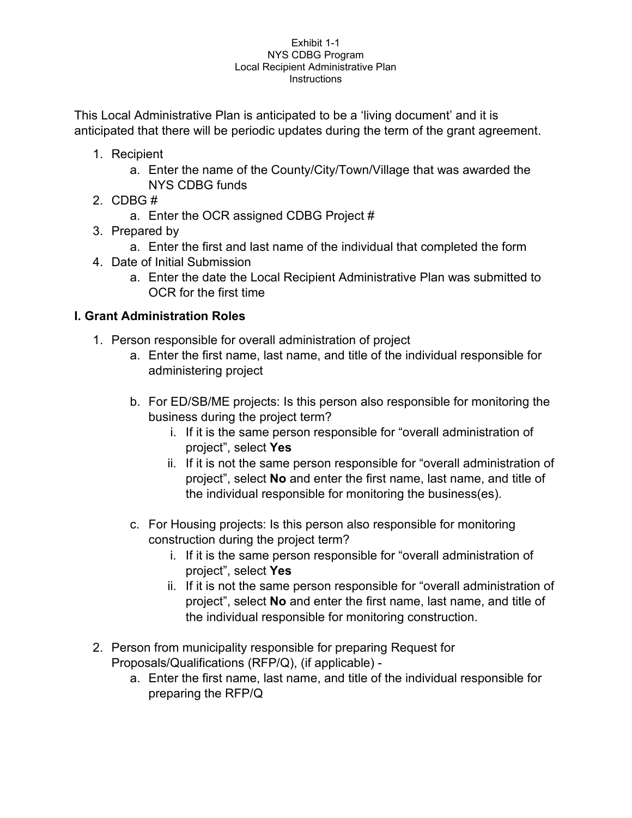This Local Administrative Plan is anticipated to be a 'living document' and it is anticipated that there will be periodic updates during the term of the grant agreement.

- 1. Recipient
	- a. Enter the name of the County/City/Town/Village that was awarded the NYS CDBG funds
- 2. CDBG #
	- a. Enter the OCR assigned CDBG Project #
- 3. Prepared by
	- a. Enter the first and last name of the individual that completed the form
- 4. Date of Initial Submission
	- a. Enter the date the Local Recipient Administrative Plan was submitted to OCR for the first time

# **I. Grant Administration Roles**

- 1. Person responsible for overall administration of project
	- a. Enter the first name, last name, and title of the individual responsible for administering project
	- b. For ED/SB/ME projects: Is this person also responsible for monitoring the business during the project term?
		- i. If it is the same person responsible for "overall administration of project", select **Yes**
		- ii. If it is not the same person responsible for "overall administration of project", select **No** and enter the first name, last name, and title of the individual responsible for monitoring the business(es).
	- c. For Housing projects: Is this person also responsible for monitoring construction during the project term?
		- i. If it is the same person responsible for "overall administration of project", select **Yes**
		- ii. If it is not the same person responsible for "overall administration of project", select **No** and enter the first name, last name, and title of the individual responsible for monitoring construction.
- 2. Person from municipality responsible for preparing Request for Proposals/Qualifications (RFP/Q), (if applicable)
	- a. Enter the first name, last name, and title of the individual responsible for preparing the RFP/Q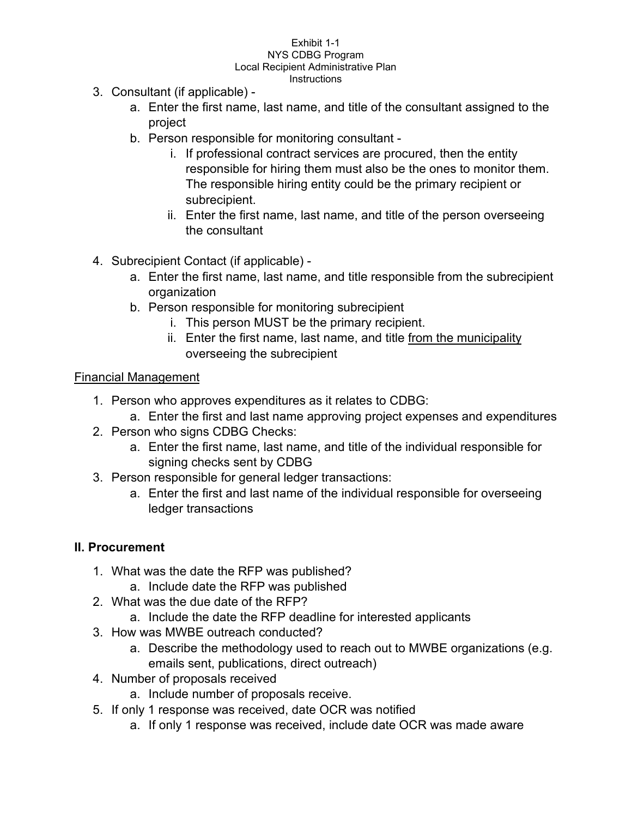- 3. Consultant (if applicable)
	- a. Enter the first name, last name, and title of the consultant assigned to the project
	- b. Person responsible for monitoring consultant
		- i. If professional contract services are procured, then the entity responsible for hiring them must also be the ones to monitor them. The responsible hiring entity could be the primary recipient or subrecipient.
		- ii. Enter the first name, last name, and title of the person overseeing the consultant
- 4. Subrecipient Contact (if applicable)
	- a. Enter the first name, last name, and title responsible from the subrecipient organization
	- b. Person responsible for monitoring subrecipient
		- i. This person MUST be the primary recipient.
		- ii. Enter the first name, last name, and title from the municipality overseeing the subrecipient

# Financial Management

- 1. Person who approves expenditures as it relates to CDBG:
	- a. Enter the first and last name approving project expenses and expenditures
- 2. Person who signs CDBG Checks:
	- a. Enter the first name, last name, and title of the individual responsible for signing checks sent by CDBG
- 3. Person responsible for general ledger transactions:
	- a. Enter the first and last name of the individual responsible for overseeing ledger transactions

### **II. Procurement**

- 1. What was the date the RFP was published?
	- a. Include date the RFP was published
- 2. What was the due date of the RFP?
	- a. Include the date the RFP deadline for interested applicants
- 3. How was MWBE outreach conducted?
	- a. Describe the methodology used to reach out to MWBE organizations (e.g. emails sent, publications, direct outreach)
- 4. Number of proposals received
	- a. Include number of proposals receive.
- 5. If only 1 response was received, date OCR was notified
	- a. If only 1 response was received, include date OCR was made aware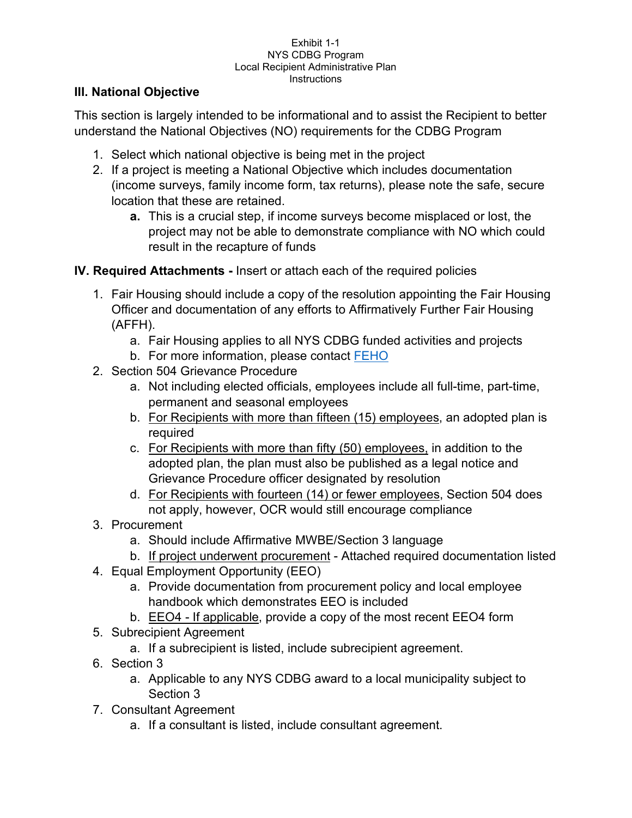# **III. National Objective**

This section is largely intended to be informational and to assist the Recipient to better understand the National Objectives (NO) requirements for the CDBG Program

- 1. Select which national objective is being met in the project
- 2. If a project is meeting a National Objective which includes documentation (income surveys, family income form, tax returns), please note the safe, secure location that these are retained.
	- **a.** This is a crucial step, if income surveys become misplaced or lost, the project may not be able to demonstrate compliance with NO which could result in the recapture of funds

# **IV. Required Attachments -** Insert or attach each of the required policies

- 1. Fair Housing should include a copy of the resolution appointing the Fair Housing Officer and documentation of any efforts to Affirmatively Further Fair Housing (AFFH).
	- a. Fair Housing applies to all NYS CDBG funded activities and projects
	- b. For more information, please contact [FEHO](https://hcr.ny.gov/fair-and-equitable-housing-office)
- 2. Section 504 Grievance Procedure
	- a. Not including elected officials, employees include all full-time, part-time, permanent and seasonal employees
	- b. For Recipients with more than fifteen (15) employees, an adopted plan is required
	- c. For Recipients with more than fifty (50) employees, in addition to the adopted plan, the plan must also be published as a legal notice and Grievance Procedure officer designated by resolution
	- d. For Recipients with fourteen (14) or fewer employees, Section 504 does not apply, however, OCR would still encourage compliance
- 3. Procurement
	- a. Should include Affirmative MWBE/Section 3 language
	- b. If project underwent procurement Attached required documentation listed
- 4. Equal Employment Opportunity (EEO)
	- a. Provide documentation from procurement policy and local employee handbook which demonstrates EEO is included
	- b. EEO4 If applicable, provide a copy of the most recent EEO4 form
- 5. Subrecipient Agreement
	- a. If a subrecipient is listed, include subrecipient agreement.
- 6. Section 3
	- a. Applicable to any NYS CDBG award to a local municipality subject to Section 3
- 7. Consultant Agreement
	- a. If a consultant is listed, include consultant agreement.